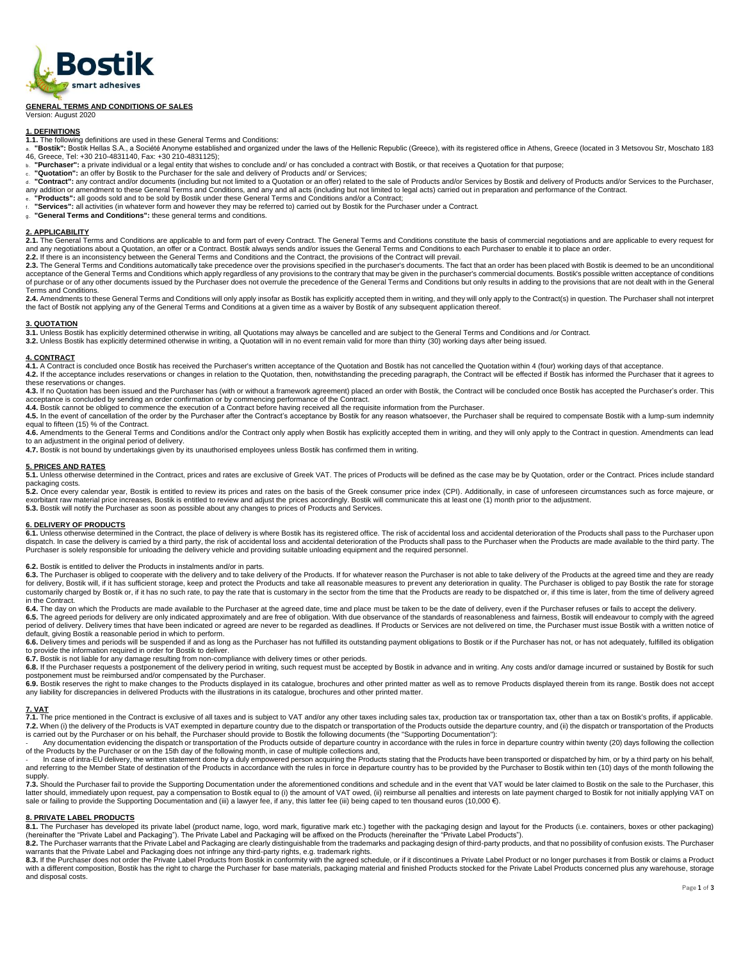

## **GENERAL TERMS AND CONDITIONS OF SALES**

Version: August 2020

## **1. DEFINITIONS**

- 
- 1.1. The following definitions are used in these General Terms and Conditions:<br>a. "Bostik": Bostik Hellas S.A., a Société Anonyme established and organized under the laws of the Hellenic Republic (Greece), with its regist 46, Greece, Tel: +30 210-4831140, Fax: +30 210-4831125);
- b. **"Purchaser":** a private individual or a legal entity that wishes to conclude and/ or has concluded a contract with Bostik, or that receives a Quotation for that purpose;
- c. **"Quotation":** an offer by Bostik to the Purchaser for the sale and delivery of Products and/ or Services;
- d. **"Contract":** any contract and/or documents (including but not limited to a Quotation or an offer) related to the sale of Products and/or Services by Bostik and delivery of Products and/or Services to the Purchaser, any addition or amendment to these General Terms and Conditions, and any and all acts (including but not limited to legal acts) carried out in preparation and performance of the Contract.<br>。 "**Products":** all goods sold and
- 
- r. "**Services**": all activities (in whatever form and however they may be referred to) carried out by Bostik for the Purchaser under a Contract.<br><sub>9</sub>. "Genera**l Terms and Conditions**": these general terms and conditions.
- 

## **2. APPLICABILITY**

**2.1.** The General Terms and Conditions are applicable to and form part of every Contract. The General Terms and Conditions constitute the basis of commercial negotiations and are applicable to every request for and any negotiations about a Quotation, an offer or a Contract. Bostik always sends and/or issues the General Terms and Conditions to each Purchaser to enable it to place an order.<br>2.2. If there is an inconsistency between

2.3. The General Terms and Conditions automatically take precedence over the provisions specified in the purchaser's documents. The fact that an order has been placed with Bostik is deemed to be an unconditional acceptance of the General Terms and Conditions which apply regardless of any provisions to the contrary that may be given in the purchaser's commercial documents. Bostik's possible written acceptance of conditions<br>of purch Terms and Conditions.

1.4. Amendments to these General Terms and Conditions will only apply insofar as Bostik has explicitly accepted them in writing, and they will only apply to the Contract(s) in question. The Purchaser shall not interpret the fact of Bostik not applying any of the General Terms and Conditions at a given time as a waiver by Bostik of any subsequent application thereof.

3. QUOTATION<br>3.1. Unless Bostik has explicitly determined otherwise in writing, all Quotations may always be cancelled and are subject to the General Terms and Conditions and /or Contract.<br>3.2. Unless Bostik has explicitly

## **4. CONTRACT**

**4.1.** A Contract is concluded once Bostik has received the Purchaser's written acceptance of the Quotation and Bostik has not cancelled the Quotation within 4 (four) working days of that acceptance. **4.2.** If the acceptance includes reservations or changes in relation to the Quotation, then, notwithstanding the preceding paragraph, the Contract will be effected if Bostik has informed the Purchaser that it agrees to

- these reservations or changes. 4.3. If no Quotation has been issued and the Purchaser has (with or without a framework agreement) placed an order with Bostik, the Contract will be concluded once Bostik has accepted the Purchaser's order. This
- acceptance is concluded by sending an order confirmation or by commencing performance of the Contract.<br>4.4. Bostik cannot be obliged to commence the execution of a Contract before having received all the requisite informat

4.5. In the event of cancellation of the order by the Purchaser after the Contract's acceptance by Bostik for any reason whatsoever, the Purchaser shall be required to compensate Bostik with a lump-sum indemnity equal to fifteen (15) % of the Contract.

**4.6.** Amendments to the General Terms and Conditions and/or the Contract only apply when Bostik has explicitly accepted them in writing, and they will only apply to the Contract in question. Amendments can lead

to an adjustment in the original period of delivery.<br>**4.7.** Bostik is not bound by undertakings given by its unauthorised employees unless Bostik has confirmed them in writing.

## **5. PRICES AND RATES**

**5.1.** Unless otherwise determined in the Contract, prices and rates are exclusive of Greek VAT. The prices of Products will be defined as the case may be by Quotation, order or the Contract. Prices include standard

packaging costs.<br>**5.2.** Once every calendar year, Bostik is entitled to review its prices and rates on the basis of the Greek consumer price index (CPI). Additionally, in case of unforeseen circumstances such as force maje

## **6. DELIVERY OF PRODUCTS**

6.1. Unless otherwise determined in the Contract, the place of delivery is where Bostik has its registered office. The risk of accidental loss and accidental deterioration of the Products shall pass to the enducts shall pa Purchaser is solely responsible for unloading the delivery vehicle and providing suitable unloading equipment and the required personnel.

**6.2.** Bostik is entitled to deliver the Products in instalments and/or in parts.

6.3. The Purchaser is obliged to cooperate with the delivery and to take delivery of the Products. If for whatever reason the Purchaser is not able to take delivery of the Products at the agreed time and they are ready<br>for customarily charged by Bostik or, if it has no such rate, to pay the rate that is customary in the sector from the time that the Products are ready to be dispatched or, if this time is later, from the time of delivery agreed in the Contract.

6.4. The day on which the Products are made available to the Purchaser at the agreed date, time and place must be taken to be the date of delivery, even if the Purchaser refuses or fails to accept the delivery. 6.5. The agreed periods for delivery are only indicated approximately and are free of obligation. With due observance of the standards of reasonableness and fairness, Bostik will endeavour to comply with the agreed<br>period default, giving Bostik a reasonable period in which to perform.

6.6. Delivery times and periods will be suspended if and as long as the Purchaser has not fulfilled its outstanding payment obligations to Bostik or if the Purchaser has not, or has not adequately, fulfilled its obligation

**6.7.** Bostik is not liable for any damage resulting from non-compliance with delivery times or other periods.

6.8. If the Purchaser requests a postponement of the delivery period in writing, such request must be accepted by Bostik in advance and in writing. Any costs and/or damage incurred or sustained by Bostik for such<br>postponem

any liability for discrepancies in delivered Products with the illustrations in its catalogue, brochures and other printed matter.

7. VAT<br>7.1. The price mentioned in the Contract is exclusive of all taxes and is subject to VAT and/or any other taxes including sales tax, production tax or transportation tax, other than a tax on Bostik's profits, if app 7.2. When (i) the delivery of the Products is VAT exempted in departure country due to the dispatch or transportation of the Products outside the departure country, and (ii) the dispatch or transportation of the Products<br>i

Any documentation evidencing the dispatch or transportation of the Products outside of departure country in accordance with the rules in force in departure country within twenty (20) days following the collection of the Products by the Purchaser or on the 15th day of the following month, in case of multiple collections and,<br>- In case of intra-EU delivery, the written statement done by a duly empowered person acquiring the Products

and referring to the Member State of destination of the Products in accordance with the rules in force in departure country has to be provided by the Purchaser to Bostik within ten (10) days of the month following the supply.

7.3. Should the Purchaser fail to provide the Supporting Documentation under the aforementioned conditions and schedule and in the event that VAT would be later claimed to Bostik on the sale to the Purchaser, this latter should, immediately upon request, pay a compensation to Bostik equal to (i) the amount of VAT owed, (ii) reimburse all penalties and interests on late payment charged to Bostik for not initially applying VAT on<br>sal

## **8. PRIVATE LABEL PRODUCTS**

8.1. The Purchaser has developed its private label (product name, logo, word mark, figurative mark etc.) together with the packaging design and layout for the Products (i.e. containers, boxes or other packaging) (hereinafter the "Private Label and Packaging"). The Private Label and Packaging will be affixed on the Products (hereinafter the "Private Label Products").<br>8.2. The Purchaser warrants that the Private Label and Packaging

warrants that the Private Label and Packaging does not infringe any third-party rights, e.g. trademark rights.

8.3. If the Purchaser does not order the Private Label Products from Bostik in conformity with the agreed schedule, or if it discontinues a Private Label Product or no longer purchases it from Bostik or claims a Product<br>wi and disposal costs.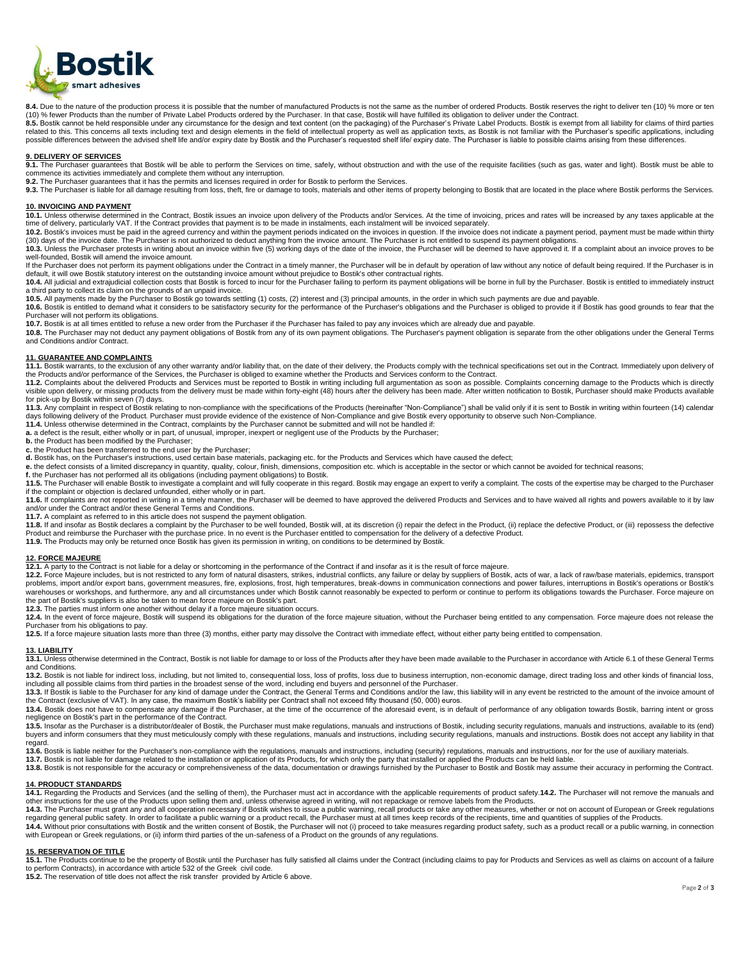

8.4. Due to the nature of the production process it is possible that the number of manufactured Products is not the same as the number of ordered Products. Bostik reserves the right to deliver ten (10) % more or ten

(10) % fewer Products than the number of Private Label Products ordered by the Purchaser. In that case, Bostik will have fulfilled its obligation to deliver under the Contract.<br>8.5. Bostik cannot be held responsible under possible differences between the advised shelf life and/or expiry date by Bostik and the Purchaser's requested shelf life/ expiry date. The Purchaser is liable to possible claims arising from these differences.

## **9. DELIVERY OF SERVICES**

9.1. The Purchaser guarantees that Bostik will be able to perform the Services on time, safely, without obstruction and with the use of the requisite facilities (such as gas, water and light). Bostik must be able to<br>commen

**9.2.** The Purchaser guarantees that it has the permits and licenses required in order for Bostik to perform the Services.

9.3. The Purchaser is liable for all damage resulting from loss, theft, fire or damage to tools, materials and other items of property belonging to Bostik that are located in the place where Bostik performs the Services.

## **10. INVOICING AND PAYMENT**

**10.1.** Unless otherwise determined in the Contract, Bostik issues an invoice upon delivery of the Products and/or Services. At the time of invoicing, prices and rates will be increased by any taxes applicable at the time of delivery, particularly VAT. If the Contract provides that payment is to be made in instalments, each instalment will be invoiced separately.

10.2. Bostik's invoices must be paid in the agreed currency and within the payment periods indicated on the invoices in question. If the invoice does not indicate a payment period, payment must be made within thirty<br>(30) d

**10.3.** Unless the Purchaser protests in writing about an invoice within five (5) working days of the date of the invoice, the Purchaser will be deemed to have approved it. If a complaint about an invoice proves to be well-founded, Bostik will amend the invoice amount.

If the Purchaser does not perform its payment obligations under the Contract in a timely manner, the Purchaser will be in default by operation of law without any notice of default being required. If the Purchaser is in default, it will owe Bostik statutory interest on the outstanding invoice amount without prejudice to Bostik's other contractual rights.<br>10.4. All judicial and extrajudicial collection costs that Bostik is forced to incur

a third party to collect its claim on the grounds of an unpaid invoice.<br>**10.5.** All payments made by the Purchaser to Bostik go towards settling (1) costs, (2) interest and (3) principal amounts, in the order in which such

10.6. Bostik is entitled to demand what it considers to be satisfactory security for the performance of the Purchaser's obligations and the Purchaser is obliged to provide it if Bostik has good grounds to fear that the Purchaser will not perform its obligations.

10.7. Bostik is at all times entitled to refuse a new order from the Purchaser if the Purchaser has failed to pay any invoices which are already due and payable.

**10.8.** The Purchaser may not deduct any payment obligations of Bostik from any of its own payment obligations. The Purchaser's payment obligation is separate from the other obligations under the General Terms and Conditions and/or Contract.

## **11. GUARANTEE AND COMPLAINTS**

11.1. Bostik warrants, to the exclusion of any other warranty and/or liability that, on the date of their delivery, the Products comply with the technical specifications set out in the Contract. Immediately upon delivery o the Products and/or performance of the Services, the Purchaser is obliged to examine whether the Products and Services conform to the Contract.<br>11.2. Complaints about the delivered Products and Services must be reported to

visible upon delivery, or missing products from the delivery must be made within forty-eight (48) hours after the delivery has been made. After written notification to Bostik, Purchaser should make Products available for pick-up by Bostik within seven (7) days.<br>11.3. Any complaint in respect of Bostik relating to non-compliance with the specifications of the Products (hereinafter "Non-Compliance") shall be valid only if it is sent to B

days following delivery of the Product. Purchaser must provide evidence of the existence of Non-Compliance and give Bostik every opportunity to observe such Non-Compliance.<br>11.4. Unless otherwise determined in the Contract

**a.** a defect is the result, either wholly or in part, of unusual, improper, inexpert or negligent use of the Products by the Purchaser;

**b.** the Product has been modified by the Purchaser; **c.** the Product has been transferred to the end user by the Purchaser;

**d.** Bostik has, on the Purchaser's instructions, used certain base materials, packaging etc. for the Products and Services which have caused the defect;

**e.** the defect consists of a limited discrepancy in quantity, quality, colour, finish, dimensions, composition etc. which is acceptable in the sector or which cannot be avoided for technical reasons;

**f.** the Purchaser has not performed all its obligations (including payment obligations) to Bostik.

**11.5.** The Purchaser will enable Bostik to investigate a complaint and will fully cooperate in this regard. Bostik may engage an expert to verify a complaint. The costs of the expertise may be charged to the Purchaser if the complaint or objection is declared unfounded, either wholly or in part.

11.6. If complaints are not reported in writing in a timely manner, the Purchaser will be deemed to have approved the delivered Products and Services and to have waived all rights and powers available to it by law and to h and/or under the Contract and/or these General Terms and Conditions.

**11.7.** A complaint as referred to in this article does not suspend the payment obligation.

11.8. If and insofar as Bostik declares a complaint by the Purchaser to be well founded, Bostik will, at its discretion (i) repair the defect in the Product, (ii) replace the defective Product, or (iii) repossess the defec Product and reimburse the Purchaser with the purchase price. In no event is the Purchaser entitled to compensation for the delivery of a defective Product.<br>**11.9.** The Products may only be returned once Bostik has given it

### **12. FORCE MAJEURE**

**12.1.** A party to the Contract is not liable for a delay or shortcoming in the performance of the Contract if and insofar as it is the result of force majeure.

12.2. Force Majeure includes, but is not restricted to any form of natural disasters, strikes, industrial conflicts, any failure or delay by suppliers of Bostik, acts of war, a lack of raw/base materials, epidemics, transp warehouses or workshops, and furthermore, any and all circumstances under which Bostik cannot reasonably be expected to perform or continue to perform its obligations towards the Purchaser. Force majeure on<br>the part of Bos

**12.3.** The parties must inform one another without delay if a force majeure situation occurs.

12.4. In the event of force majeure, Bostik will suspend its obligations for the duration of the force majeure situation, without the Purchaser being entitled to any compensation. Force majeure does not release the Purchaser from his obligations to pay.

**12.5.** If a force majeure situation lasts more than three (3) months, either party may dissolve the Contract with immediate effect, without either party being entitled to compensation.

# **13. LIABILITY**

13.1. Unless otherwise determined in the Contract, Bostik is not liable for damage to or loss of the Products after they have been made available to the Purchaser in accordance with Article 6.1 of these General Terms and Conditions.

13.2. Bostik is not liable for indirect loss, including, but not limited to, consequential loss, loss of profits, loss due to business interruption, non-economic damage, direct trading loss and other kinds of financial los including all possible claims from third parties in the broadest sense of the word, including end buyers and personnel of the Purchaser.

13.3. If Bostik is liable to the Purchaser for any kind of damage under the Contract, the General Terms and Conditions and/or the law, this liability will in any event be restricted to the amount of the invoice amount of the Contract (exclusive of VAT). In any case, the maximum Bostik's liability per Contract shall not exceed fifty thousand (50, 000) euros

**13.4.** Bostik does not have to compensate any damage if the Purchaser, at the time of the occurrence of the aforesaid event, is in default of performance of any obligation towards Bostik, barring intent or gross negligence on Bostik's part in the performance of the Contract.

13.5. Insofar as the Purchaser is a distributor/dealer of Bostik, the Purchaser must make regulations, manuals and instructions of Bostik, including security regulations, manuals and instructions, available to its (end) buyers and inform consumers that they must meticulously comply with these regulations, manuals and instructions, including security regulations, manuals and instructions. Bostik does not accept any liability in that buyers regard.

13.6. Bostik is liable neither for the Purchaser's non-compliance with the regulations, manuals and instructions, including (security) regulations, manuals and instructions, nor for the use of auxiliary materials.<br>13.7. Bo

**13.8.** Bostik is not responsible for the accuracy or comprehensiveness of the data, documentation or drawings furnished by the Purchaser to Bostik and Bostik may assume their accuracy in performing the Contract.

# **14. PRODUCT STANDARDS**

14.1. Regarding the Products and Services (and the selling of them), the Purchaser must act in accordance with the applicable requirements of product safety.14.2. The Purchaser will not remove the manuals and<br>other instruc

**14.3.** The Purchaser must grant any and all cooperation necessary if Bostik wishes to issue a public warning, recall products or take any other measures, whether or not on account of European or Greek regulations regarding general public safety. In order to facilitate a public warning or a product recall, the Purchaser must at all times keep records of the recipients, time and quantities of supplies of the Products.<br>14.4. Without p with European or Greek regulations, or (ii) inform third parties of the un-safeness of a Product on the grounds of any regulations.

## **15. RESERVATION OF TITLE**

15.1. The Products continue to be the property of Bostik until the Purchaser has fully satisfied all claims under the Contract (including claims to pay for Products and Services as well as claims on account of a failure<br>to

**15.2.** The reservation of title does not affect the risk transfer provided by Article 6 above.